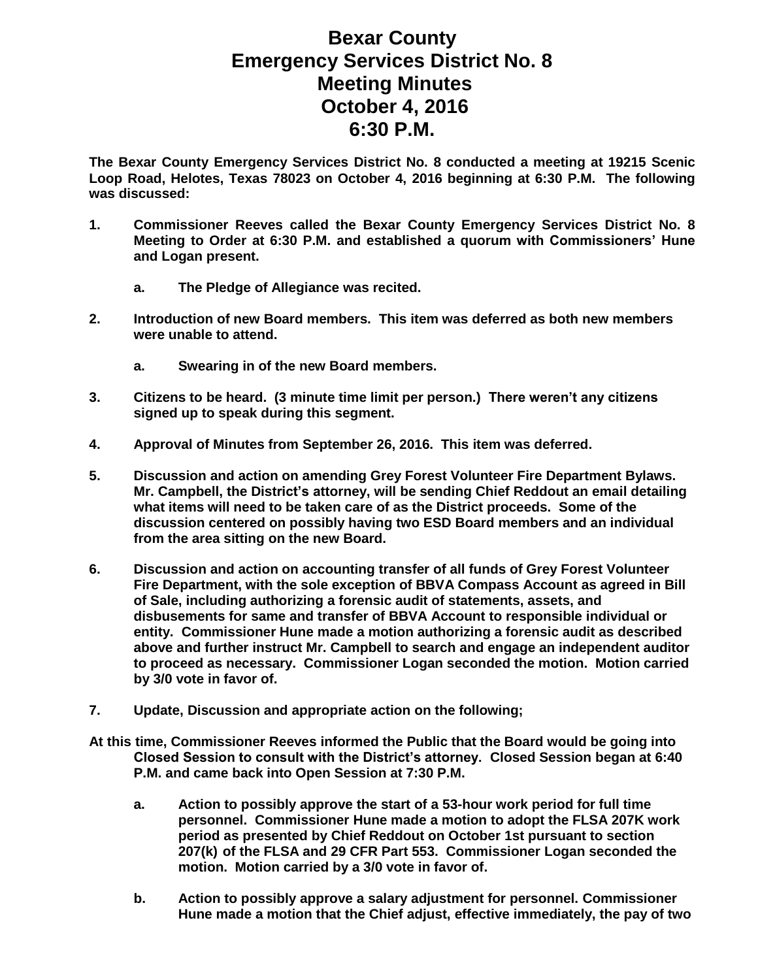## **Bexar County Emergency Services District No. 8 Meeting Minutes October 4, 2016 6:30 P.M.**

**The Bexar County Emergency Services District No. 8 conducted a meeting at 19215 Scenic Loop Road, Helotes, Texas 78023 on October 4, 2016 beginning at 6:30 P.M. The following was discussed:**

- **1. Commissioner Reeves called the Bexar County Emergency Services District No. 8 Meeting to Order at 6:30 P.M. and established a quorum with Commissioners' Hune and Logan present.**
	- **a. The Pledge of Allegiance was recited.**
- **2. Introduction of new Board members. This item was deferred as both new members were unable to attend.**
	- **a. Swearing in of the new Board members.**
- **3. Citizens to be heard. (3 minute time limit per person.) There weren't any citizens signed up to speak during this segment.**
- **4. Approval of Minutes from September 26, 2016. This item was deferred.**
- **5. Discussion and action on amending Grey Forest Volunteer Fire Department Bylaws. Mr. Campbell, the District's attorney, will be sending Chief Reddout an email detailing what items will need to be taken care of as the District proceeds. Some of the discussion centered on possibly having two ESD Board members and an individual from the area sitting on the new Board.**
- **6. Discussion and action on accounting transfer of all funds of Grey Forest Volunteer Fire Department, with the sole exception of BBVA Compass Account as agreed in Bill of Sale, including authorizing a forensic audit of statements, assets, and disbusements for same and transfer of BBVA Account to responsible individual or entity. Commissioner Hune made a motion authorizing a forensic audit as described above and further instruct Mr. Campbell to search and engage an independent auditor to proceed as necessary. Commissioner Logan seconded the motion. Motion carried by 3/0 vote in favor of.**
- **7. Update, Discussion and appropriate action on the following;**
- **At this time, Commissioner Reeves informed the Public that the Board would be going into Closed Session to consult with the District's attorney. Closed Session began at 6:40 P.M. and came back into Open Session at 7:30 P.M.**
	- **a. Action to possibly approve the start of a 53-hour work period for full time personnel. Commissioner Hune made a motion to adopt the FLSA 207K work period as presented by Chief Reddout on October 1st pursuant to section 207(k) of the FLSA and 29 CFR Part 553. Commissioner Logan seconded the motion. Motion carried by a 3/0 vote in favor of.**
	- **b. Action to possibly approve a salary adjustment for personnel. Commissioner Hune made a motion that the Chief adjust, effective immediately, the pay of two**